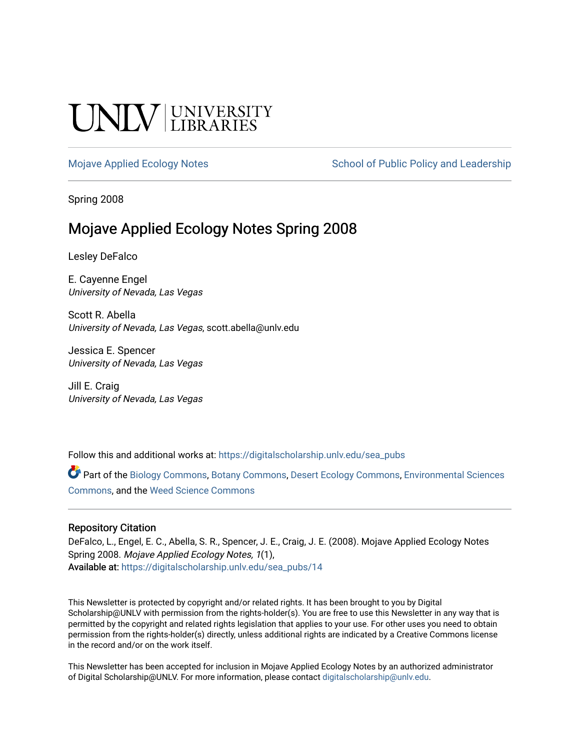# **INIVERSITY**

[Mojave Applied Ecology Notes](https://digitalscholarship.unlv.edu/sea_pubs) School of Public Policy and Leadership

Spring 2008

# Mojave Applied Ecology Notes Spring 2008

Lesley DeFalco

E. Cayenne Engel University of Nevada, Las Vegas

Scott R. Abella University of Nevada, Las Vegas, scott.abella@unlv.edu

Jessica E. Spencer University of Nevada, Las Vegas

Jill E. Craig University of Nevada, Las Vegas

Follow this and additional works at: [https://digitalscholarship.unlv.edu/sea\\_pubs](https://digitalscholarship.unlv.edu/sea_pubs?utm_source=digitalscholarship.unlv.edu%2Fsea_pubs%2F14&utm_medium=PDF&utm_campaign=PDFCoverPages) 

Part of the [Biology Commons,](http://network.bepress.com/hgg/discipline/41?utm_source=digitalscholarship.unlv.edu%2Fsea_pubs%2F14&utm_medium=PDF&utm_campaign=PDFCoverPages) [Botany Commons,](http://network.bepress.com/hgg/discipline/104?utm_source=digitalscholarship.unlv.edu%2Fsea_pubs%2F14&utm_medium=PDF&utm_campaign=PDFCoverPages) [Desert Ecology Commons](http://network.bepress.com/hgg/discipline/1261?utm_source=digitalscholarship.unlv.edu%2Fsea_pubs%2F14&utm_medium=PDF&utm_campaign=PDFCoverPages), [Environmental Sciences](http://network.bepress.com/hgg/discipline/167?utm_source=digitalscholarship.unlv.edu%2Fsea_pubs%2F14&utm_medium=PDF&utm_campaign=PDFCoverPages)  [Commons](http://network.bepress.com/hgg/discipline/167?utm_source=digitalscholarship.unlv.edu%2Fsea_pubs%2F14&utm_medium=PDF&utm_campaign=PDFCoverPages), and the [Weed Science Commons](http://network.bepress.com/hgg/discipline/1267?utm_source=digitalscholarship.unlv.edu%2Fsea_pubs%2F14&utm_medium=PDF&utm_campaign=PDFCoverPages)

#### Repository Citation

DeFalco, L., Engel, E. C., Abella, S. R., Spencer, J. E., Craig, J. E. (2008). Mojave Applied Ecology Notes Spring 2008. Mojave Applied Ecology Notes, 1(1), Available at: [https://digitalscholarship.unlv.edu/sea\\_pubs/14](https://digitalscholarship.unlv.edu/sea_pubs/14) 

This Newsletter is protected by copyright and/or related rights. It has been brought to you by Digital Scholarship@UNLV with permission from the rights-holder(s). You are free to use this Newsletter in any way that is permitted by the copyright and related rights legislation that applies to your use. For other uses you need to obtain permission from the rights-holder(s) directly, unless additional rights are indicated by a Creative Commons license in the record and/or on the work itself.

This Newsletter has been accepted for inclusion in Mojave Applied Ecology Notes by an authorized administrator of Digital Scholarship@UNLV. For more information, please contact [digitalscholarship@unlv.edu.](mailto:digitalscholarship@unlv.edu)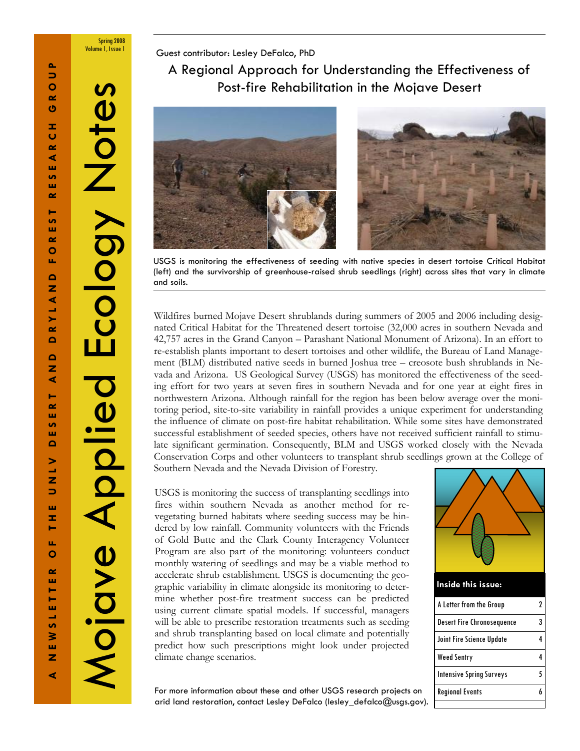Spring 2008 Volume 1, Issue 1

Notes

Guest contributor: Lesley DeFalco, PhD

A Regional Approach for Understanding the Effectiveness of Post-fire Rehabilitation in the Mojave Desert



USGS is monitoring the effectiveness of seeding with native species in desert tortoise Critical Habitat (left) and the survivorship of greenhouse-raised shrub seedlings (right) across sites that vary in climate and soils.

Wildfires burned Mojave Desert shrublands during summers of 2005 and 2006 including designated Critical Habitat for the Threatened desert tortoise (32,000 acres in southern Nevada and 42,757 acres in the Grand Canyon – Parashant National Monument of Arizona). In an effort to re-establish plants important to desert tortoises and other wildlife, the Bureau of Land Management (BLM) distributed native seeds in burned Joshua tree – creosote bush shrublands in Nevada and Arizona. US Geological Survey (USGS) has monitored the effectiveness of the seeding effort for two years at seven fires in southern Nevada and for one year at eight fires in northwestern Arizona. Although rainfall for the region has been below average over the monitoring period, site-to-site variability in rainfall provides a unique experiment for understanding the influence of climate on post-fire habitat rehabilitation. While some sites have demonstrated successful establishment of seeded species, others have not received sufficient rainfall to stimulate significant germination. Consequently, BLM and USGS worked closely with the Nevada Conservation Corps and other volunteers to transplant shrub seedlings grown at the College of Southern Nevada and the Nevada Division of Forestry.

USGS is monitoring the success of transplanting seedlings into fires within southern Nevada as another method for revegetating burned habitats where seeding success may be hindered by low rainfall. Community volunteers with the Friends of Gold Butte and the Clark County Interagency Volunteer Program are also part of the monitoring: volunteers conduct monthly watering of seedlings and may be a viable method to accelerate shrub establishment. USGS is documenting the geographic variability in climate alongside its monitoring to determine whether post-fire treatment success can be predicted using current climate spatial models. If successful, managers will be able to prescribe restoration treatments such as seeding and shrub transplanting based on local climate and potentially predict how such prescriptions might look under projected climate change scenarios.



For more information about these and other USGS research projects on arid land restoration, contact Lesley DeFalco (lesley\_defalco@usgs.gov).

Mojave Applied Ecology Notes

Mojave Applied

Ecology 1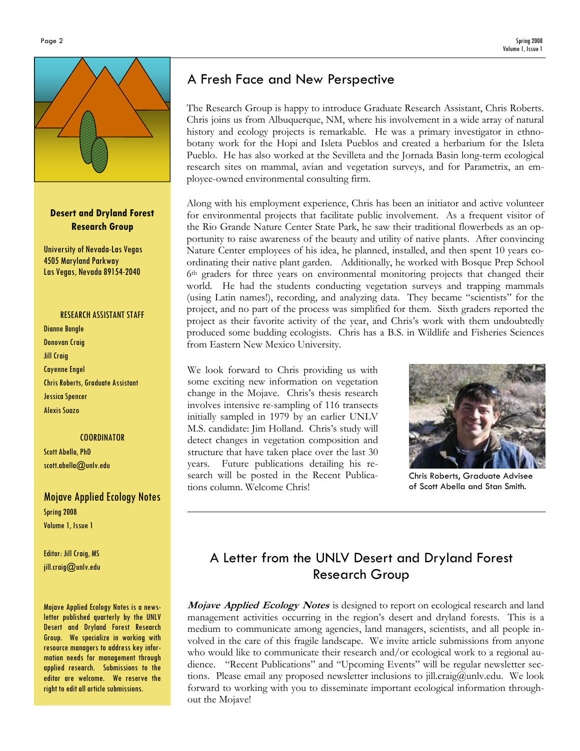

#### Desert and Dryland Forest Research Group

University of Nevada-Las Vegas 4505 Maryland Parkway Las Vegas, Nevada 89154-2040

#### RESEARCH ASSISTANT STAFF

Dianne Bangle Donovan Craig Jill Craig Cayenne Engel Chris Roberts, Graduate Assistant Jessica Spencer Alexis Suazo

#### **COORDINATOR**

Scott Abella, PhD scott.abella@unlv.edu

# Mojave Applied Ecology Notes

Spring 2008 Volume 1, Issue 1

Editor: Jill Craig, MS jill.craig@unlv.edu

Mojave Applied Ecology Notes is a newsletter published quarterly by the UNLV Desert and Dryland Forest Research Group. We specialize in working with resource managers to address key information needs for management through applied research. Submissions to the editor are welcome. We reserve the right to edit all article submissions.

# A Fresh Face and New Perspective

The Research Group is happy to introduce Graduate Research Assistant, Chris Roberts. Chris joins us from Albuquerque, NM, where his involvement in a wide array of natural history and ecology projects is remarkable. He was a primary investigator in ethnobotany work for the Hopi and Isleta Pueblos and created a herbarium for the Isleta Pueblo. He has also worked at the Sevilleta and the Jornada Basin long-term ecological research sites on mammal, avian and vegetation surveys, and for Parametrix, an employee-owned environmental consulting firm.

Along with his employment experience, Chris has been an initiator and active volunteer for environmental projects that facilitate public involvement. As a frequent visitor of the Rio Grande Nature Center State Park, he saw their traditional flowerbeds as an opportunity to raise awareness of the beauty and utility of native plants. After convincing Nature Center employees of his idea, he planned, installed, and then spent 10 years coordinating their native plant garden. Additionally, he worked with Bosque Prep School 6th graders for three years on environmental monitoring projects that changed their world. He had the students conducting vegetation surveys and trapping mammals (using Latin names!), recording, and analyzing data. They became "scientists" for the project, and no part of the process was simplified for them. Sixth graders reported the project as their favorite activity of the year, and Chris's work with them undoubtedly produced some budding ecologists. Chris has a B.S. in Wildlife and Fisheries Sciences from Eastern New Mexico University.

We look forward to Chris providing us with some exciting new information on vegetation change in the Mojave. Chris's thesis research involves intensive re-sampling of 116 transects initially sampled in 1979 by an earlier UNLV M.S. candidate: Jim Holland. Chris's study will detect changes in vegetation composition and structure that have taken place over the last 30 years. Future publications detailing his research will be posted in the Recent Publications column. Welcome Chris!



Chris Roberts, Graduate Advisee of Scott Abella and Stan Smith.

# A Letter from the UNLV Desert and Dryland Forest Research Group

**Mojave Applied Ecology Notes** is designed to report on ecological research and land management activities occurring in the region's desert and dryland forests. This is a medium to communicate among agencies, land managers, scientists, and all people involved in the care of this fragile landscape. We invite article submissions from anyone who would like to communicate their research and/or ecological work to a regional audience. "Recent Publications" and "Upcoming Events" will be regular newsletter sections. Please email any proposed newsletter inclusions to jill.craig@unlv.edu. We look forward to working with you to disseminate important ecological information throughout the Mojave!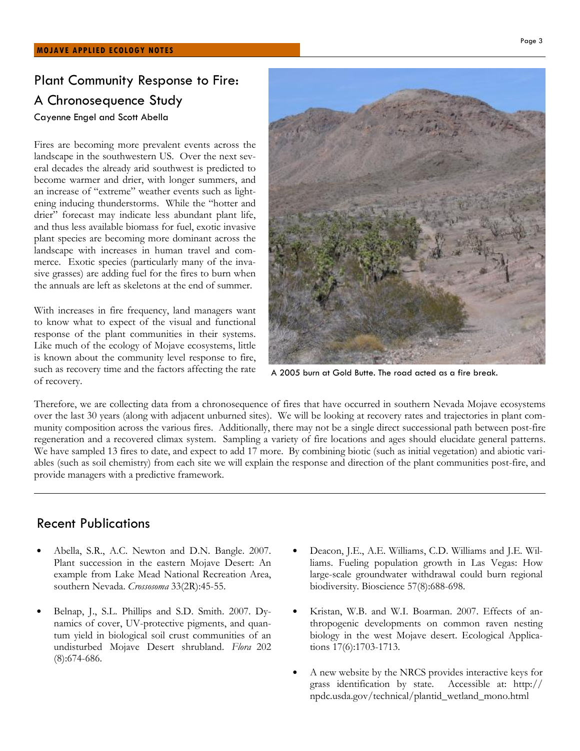# Plant Community Response to Fire: A Chronosequence Study

Cayenne Engel and Scott Abella

Fires are becoming more prevalent events across the landscape in the southwestern US. Over the next several decades the already arid southwest is predicted to become warmer and drier, with longer summers, and an increase of "extreme" weather events such as lightening inducing thunderstorms. While the "hotter and drier" forecast may indicate less abundant plant life, and thus less available biomass for fuel, exotic invasive plant species are becoming more dominant across the landscape with increases in human travel and commerce. Exotic species (particularly many of the invasive grasses) are adding fuel for the fires to burn when the annuals are left as skeletons at the end of summer.

With increases in fire frequency, land managers want to know what to expect of the visual and functional response of the plant communities in their systems. Like much of the ecology of Mojave ecosystems, little is known about the community level response to fire, such as recovery time and the factors affecting the rate of recovery.



A 2005 burn at Gold Butte. The road acted as a fire break.

Therefore, we are collecting data from a chronosequence of fires that have occurred in southern Nevada Mojave ecosystems over the last 30 years (along with adjacent unburned sites). We will be looking at recovery rates and trajectories in plant community composition across the various fires. Additionally, there may not be a single direct successional path between post-fire regeneration and a recovered climax system. Sampling a variety of fire locations and ages should elucidate general patterns. We have sampled 13 fires to date, and expect to add 17 more. By combining biotic (such as initial vegetation) and abiotic variables (such as soil chemistry) from each site we will explain the response and direction of the plant communities post-fire, and provide managers with a predictive framework.

### Recent Publications

- Abella, S.R., A.C. Newton and D.N. Bangle. 2007. Plant succession in the eastern Mojave Desert: An example from Lake Mead National Recreation Area, southern Nevada. Crossosoma 33(2R):45-55.
- Belnap, J., S.L. Phillips and S.D. Smith. 2007. Dynamics of cover, UV-protective pigments, and quantum yield in biological soil crust communities of an undisturbed Mojave Desert shrubland. Flora 202 (8):674-686.
- Deacon, J.E., A.E. Williams, C.D. Williams and J.E. Williams. Fueling population growth in Las Vegas: How large-scale groundwater withdrawal could burn regional biodiversity. Bioscience 57(8):688-698.
- Kristan, W.B. and W.I. Boarman. 2007. Effects of anthropogenic developments on common raven nesting biology in the west Mojave desert. Ecological Applications 17(6):1703-1713.
- A new website by the NRCS provides interactive keys for grass identification by state. Accessible at: http:// npdc.usda.gov/technical/plantid\_wetland\_mono.html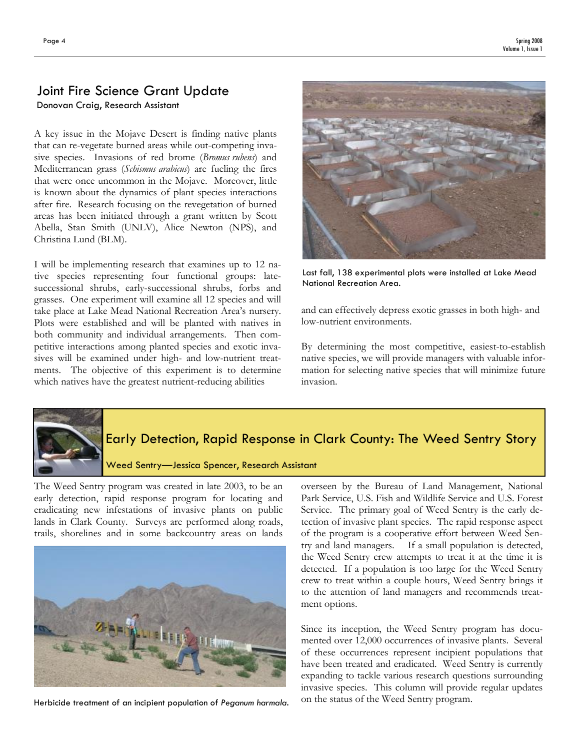# Joint Fire Science Grant Update Donovan Craig, Research Assistant

A key issue in the Mojave Desert is finding native plants that can re-vegetate burned areas while out-competing invasive species. Invasions of red brome (Bromus rubens) and Mediterranean grass (Schismus arabicus) are fueling the fires that were once uncommon in the Mojave. Moreover, little is known about the dynamics of plant species interactions after fire. Research focusing on the revegetation of burned areas has been initiated through a grant written by Scott Abella, Stan Smith (UNLV), Alice Newton (NPS), and Christina Lund (BLM).

I will be implementing research that examines up to 12 native species representing four functional groups: latesuccessional shrubs, early-successional shrubs, forbs and grasses. One experiment will examine all 12 species and will take place at Lake Mead National Recreation Area's nursery. Plots were established and will be planted with natives in both community and individual arrangements. Then competitive interactions among planted species and exotic invasives will be examined under high- and low-nutrient treatments. The objective of this experiment is to determine which natives have the greatest nutrient-reducing abilities



Last fall, 138 experimental plots were installed at Lake Mead National Recreation Area.

and can effectively depress exotic grasses in both high- and low-nutrient environments.

By determining the most competitive, easiest-to-establish native species, we will provide managers with valuable information for selecting native species that will minimize future invasion.



# Early Detection, Rapid Response in Clark County: The Weed Sentry Story

Weed Sentry—Jessica Spencer, Research Assistant

The Weed Sentry program was created in late 2003, to be an early detection, rapid response program for locating and eradicating new infestations of invasive plants on public lands in Clark County. Surveys are performed along roads, trails, shorelines and in some backcountry areas on lands



Herbicide treatment of an incipient population of Peganum harmala.

overseen by the Bureau of Land Management, National Park Service, U.S. Fish and Wildlife Service and U.S. Forest Service. The primary goal of Weed Sentry is the early detection of invasive plant species. The rapid response aspect of the program is a cooperative effort between Weed Sentry and land managers. If a small population is detected, the Weed Sentry crew attempts to treat it at the time it is detected. If a population is too large for the Weed Sentry crew to treat within a couple hours, Weed Sentry brings it to the attention of land managers and recommends treatment options.

Since its inception, the Weed Sentry program has documented over 12,000 occurrences of invasive plants. Several of these occurrences represent incipient populations that have been treated and eradicated. Weed Sentry is currently expanding to tackle various research questions surrounding invasive species. This column will provide regular updates on the status of the Weed Sentry program.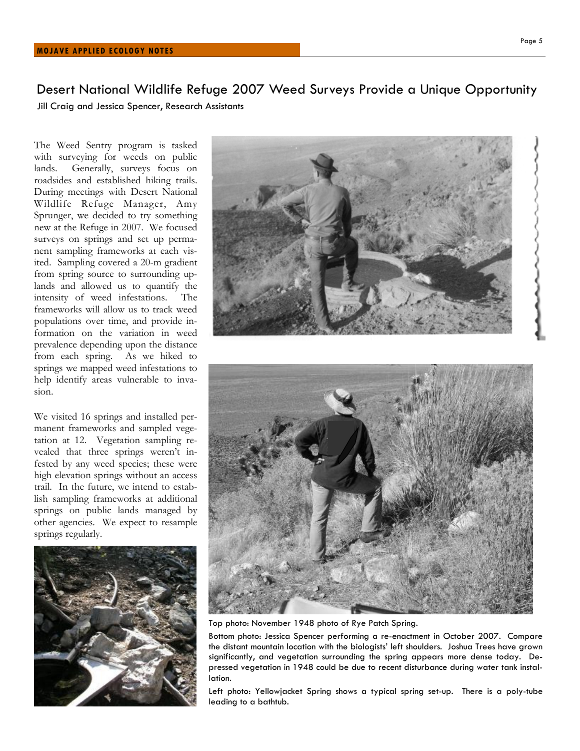Desert National Wildlife Refuge 2007 Weed Surveys Provide a Unique Opportunity Jill Craig and Jessica Spencer, Research Assistants

The Weed Sentry program is tasked with surveying for weeds on public lands. Generally, surveys focus on roadsides and established hiking trails. During meetings with Desert National Wildlife Refuge Manager, Amy Sprunger, we decided to try something new at the Refuge in 2007. We focused surveys on springs and set up permanent sampling frameworks at each visited. Sampling covered a 20-m gradient from spring source to surrounding uplands and allowed us to quantify the intensity of weed infestations. The frameworks will allow us to track weed populations over time, and provide information on the variation in weed prevalence depending upon the distance from each spring. As we hiked to springs we mapped weed infestations to help identify areas vulnerable to invasion.

We visited 16 springs and installed permanent frameworks and sampled vegetation at 12. Vegetation sampling revealed that three springs weren't infested by any weed species; these were high elevation springs without an access trail. In the future, we intend to establish sampling frameworks at additional springs on public lands managed by other agencies. We expect to resample springs regularly.





Top photo: November 1948 photo of Rye Patch Spring.

Bottom photo: Jessica Spencer performing a re-enactment in October 2007. Compare the distant mountain location with the biologists' left shoulders. Joshua Trees have grown significantly, and vegetation surrounding the spring appears more dense today. Depressed vegetation in 1948 could be due to recent disturbance during water tank installation.

Left photo: Yellowjacket Spring shows a typical spring set-up. There is a poly-tube leading to a bathtub.